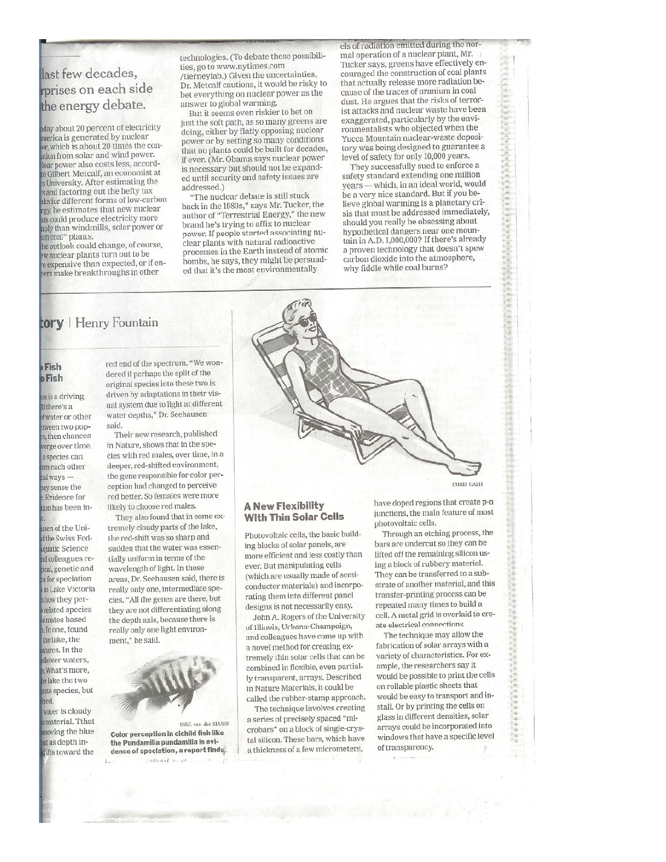## last few decades, rprises on each side the energy debate.

oday about 20 percent of electricity merica is generated by nuclear er, which is about 20 times the conution from solar and wind power. lear power also costs less, accordto Gilbert Metcalf, an economist at s University. After estimating the s and factoring out the hefty tax ks for different forms of low-carbon rgy, he estimates that new nuclear ats could produce electricity more aply than windmills, solar power or an coal" plants.

he outlook could change, of course, w nuclear plants turn out to be reexpensive than expected, or if eneers make breakthroughs in other

technologies. (To debate these possibilities, go to www.nytimes.com

/tierneylab.) Given the uncertainties, Dr. Metcalf cautions, it would be risky to bet everything on nuclear power as the answer to global warming.

But it seems even riskier to bet on just the soft path, as so many greens are doing, either by flatly opposing nuclear power or by setting so many conditions that no plants could be built for decades, if ever. (Mr. Obama says nuclear power is necessary but should not be expanded until security and safety issues are addressed.)

"The nuclear debate is still stuck back in the 1980s," says Mr. Tucker, the author of "Terrestrial Energy," the new brand he's trying to affix to nuclear power. If people started associating nuclear plants with natural radioactive processes in the Earth instead of atomic bombs, he says, they might be persuaded that it's the most environmentally

els of radiation emitted during the normal operation of a nuclear plant, Mr. Tucker says, greens have effectively encouraged the construction of coal plants that actually release more radiation because of the traces of uranium in coal dust. He argues that the risks of terrorist attacks and nuclear waste have been exaggerated, particularly by the environmentalists who objected when the Yucca Mountain nuclear-waste depository was being designed to guarantee a level of safety for only 10,000 years.

They successfully sued to enforce a safety standard extending one million years - which, in an ideal world, would be a very nice standard. But if you believe global warming is a planetary crisis that must be addressed immediately, should you really be obsessing about hypothetical dangers near one mountain in A.D. 1,000,000? If there's already a proven technology that doesn't spew carbon dioxide into the atmosphere, why fiddle while coal burns?

## tory | Henry Fountain

### Fish e Fish

on is a driving If there's a of water or other tween two popes, then chances verge over time. a species can om each other ral ways ey sense the Evidence for tion has been in-

sen of the Unid the Swiss Fedquatic Science nd colleagues reical, genetic and te for speciation in Lake Victoria how they perrelated species mates based 1. In one, found the lake, the atures. In the allower waters. e. What's more, lelake the two rate species, but xed.

water is cloudy ematerial. Tthat emoving the blue at as depth inlifts toward the

red end of the spectrum. "We wondered if perhaps the split of the original species into these two is driven by adaptations in their visual system due to light at different water depths," Dr. Seehausen said.

Their new research, published in Nature, shows that in the species with red males, over time, in a deeper, red-shifted environment, the gene responsible for color perception had changed to perceive red better. So females were more likely to choose red males.

They also found that in some extremely cloudy parts of the lake, the red-shift was so sharp and sudden that the water was essentially uniform in terms of the wavelength of light. In those areas, Dr. Seehausen said, there is really only one, intermediate species. "All the genes are there, but they are not differentiating along the depth axis, because there is really only one light environment," he said.

INKE van der SLULJS Color perception in cichlid fish like the Pundamilia pundamilia is evidence of speciation, a report finds,. hidinairl is air



Photovoltaic cells, the basic building blocks of solar panels, are more efficient and less costly than ever. But manipulating cells (which are usually made of semiconductor materials) and incorporating them into different panel designs is not necessarily easy.

John A. Rogers of the University of Illinois, Urbana-Champaign, and colleagues have come up with a novel method for creating extremely thin solar cells that can be combined in flexible, even partially transparent, arrays. Described in Nature Materials, it could be called the rubber-stamp approach.

The technique involves creating a series of precisely spaced "microbars" on a block of single-crystal silicon. These bars, which have a thickness of a few micrometers,

have doped regions that create p-n junctions, the main feature of most photovoltaic cells.

CHRIS GASH

Through an etching process, the bars are undercut so they can be lifted off the remaining silicon using a block of rubbery material. They can be transferred to a substrate of another material, and this transfer-printing process can be repeated many times to build a cell. A metal grid is overlaid to create electrical connections.

The technique may allow the fabrication of solar arrays with a variety of characteristics. For example, the researchers say it would be possible to print the cells on rollable plastic sheets that would be easy to transport and install. Or by printing the cells on glass in different densities, solar arrays could be incorporated into windows that have a specific level of transparency.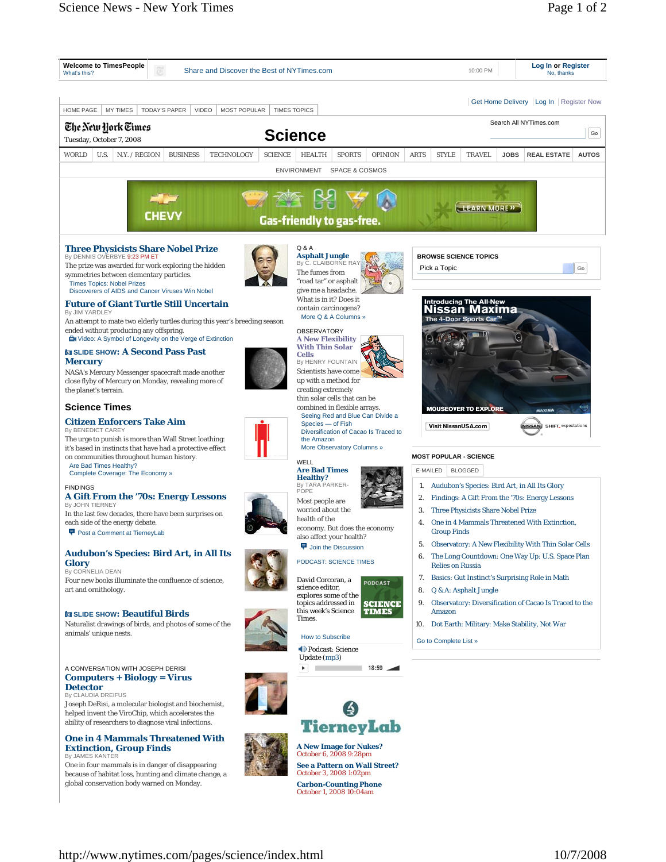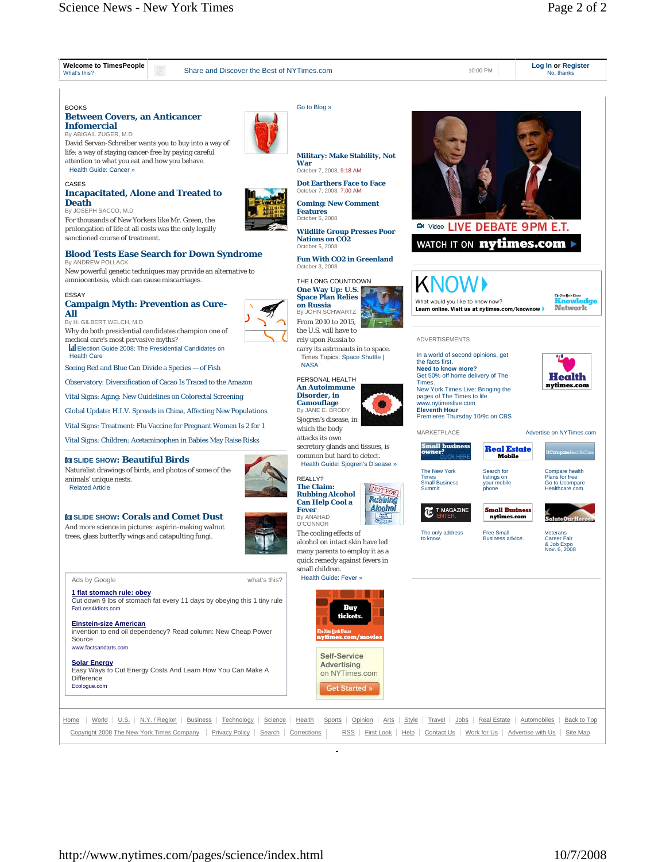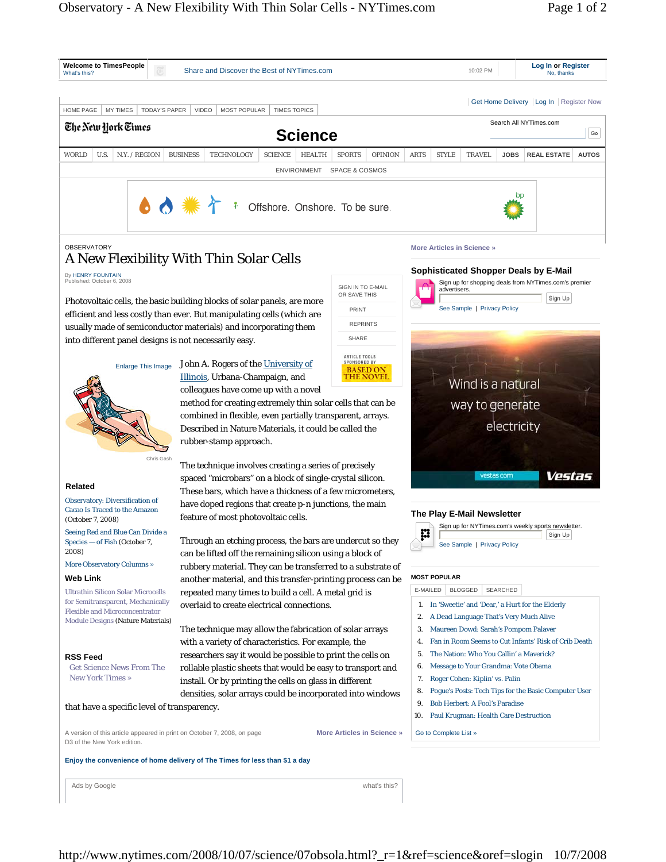

OR SAVE THIS PRINT REPRINTS SHARE

ARTICLE TOOLS<br>SPONSORED BY

**OBSERVATORY** 

# A New Flexibility With Thin Solar Cells

By HENRY FOUNTAIN<br>Published: October 6, 2008 ENRY FOC

Photovoltaic cells, the basic building blocks of solar panels, are more efficient and less costly than ever. But manipulating cells (which are usually made of semiconductor materials) and incorporating them into different panel designs is not necessarily easy.



#### **Related**

Observatory: Diversification of Cacao Is Traced to the Amazon (October 7, 2008)

Seeing Red and Blue Can Divide a Species — of Fish (October 7, 2008)

More Observatory Columns »

#### **Web Link**

Ultrathin Silicon Solar Microcells for Semitransparent, Mechanically Flexible and Microconcentrator Module Designs (Nature Materials)

#### **RSS Feed**

Get Science News From The New York Times »

John A. Rogers of the University of Illinois, Urbana-Champaign, and colleagues have come up with a novel

method for creating extremely thin solar cells that can be combined in flexible, even partially transparent, arrays. Described in Nature Materials, it could be called the rubber-stamp approach.

The technique involves creating a series of precisely spaced "microbars" on a block of single-crystal silicon. These bars, which have a thickness of a few micrometers, have doped regions that create p-n junctions, the main feature of most photovoltaic cells.

Through an etching process, the bars are undercut so they can be lifted off the remaining silicon using a block of rubbery material. They can be transferred to a substrate of another material, and this transfer-printing process can be repeated many times to build a cell. A metal grid is overlaid to create electrical connections.

The technique may allow the fabrication of solar arrays with a variety of characteristics. For example, the researchers say it would be possible to print the cells on rollable plastic sheets that would be easy to transport and install. Or by printing the cells on glass in different densities, solar arrays could be incorporated into windows

that have a specific level of transparency.

A version of this article appeared in print on October 7, 2008, on page **More Articles in Science »**

**Enjoy the convenience of home delivery of The Times for less than \$1 a day**

Ads by Google what's this?

D3 of the New York edition.

## **More Articles in Science »**

#### **Sophisticated Shopper Deals by E-Mail**



#### **The Play E-Mail Newsletter**



#### **MOST POPULAR**

E-MAILED BLOGGED SEARCHED

- 1. In 'Sweetie' and 'Dear,' a Hurt for the Elderly
- 2. A Dead Language That's Very Much Alive
- 3. Maureen Dowd: Sarah's Pompom Palaver
- 4. Fan in Room Seems to Cut Infants' Risk of Crib Death
- 5. The Nation: Who You Callin' a Maverick?
- 6. Message to Your Grandma: Vote Obama

10. Paul Krugman: Health Care Destruction

- 7. Roger Cohen: Kiplin' vs. Palin
- 8. Pogue's Posts: Tech Tips for the Basic Computer User
- 9. Bob Herbert: A Fool's Paradise

Go to Complete List »